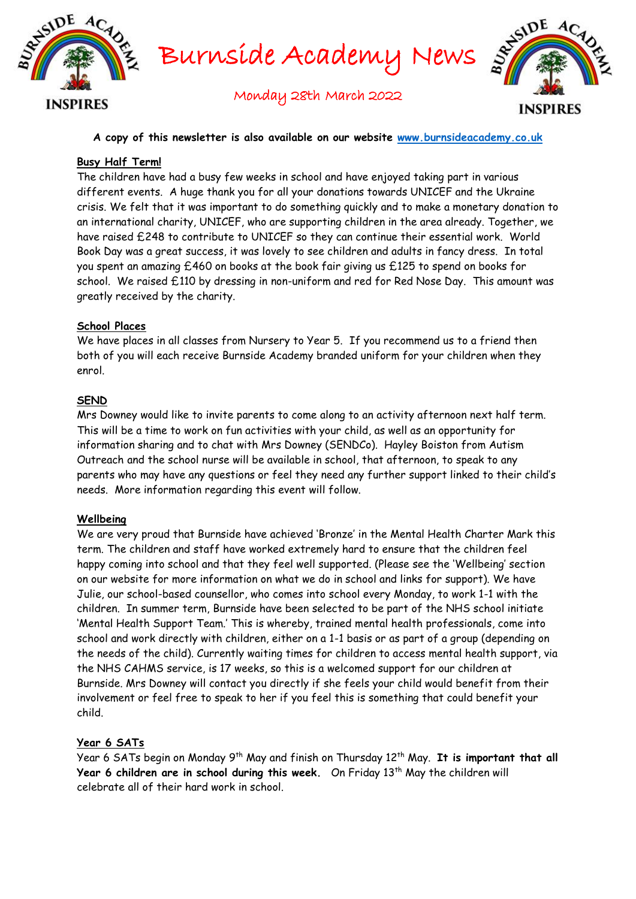

Burnside Academy News



Monday 28th March 2022

#### **A copy of this newsletter is also available on our website [www.burnsideacademy.co.uk](http://www.burnsideacademy.co.uk/)**

### **Busy Half Term!**

The children have had a busy few weeks in school and have enjoyed taking part in various different events. A huge thank you for all your donations towards UNICEF and the Ukraine crisis. We felt that it was important to do something quickly and to make a monetary donation to an international charity, UNICEF, who are supporting children in the area already. Together, we have raised £248 to contribute to UNICEF so they can continue their essential work. World Book Day was a great success, it was lovely to see children and adults in fancy dress. In total you spent an amazing £460 on books at the book fair giving us £125 to spend on books for school. We raised £110 by dressing in non-uniform and red for Red Nose Day. This amount was greatly received by the charity.

#### **School Places**

We have places in all classes from Nursery to Year 5. If you recommend us to a friend then both of you will each receive Burnside Academy branded uniform for your children when they enrol.

#### **SEND**

Mrs Downey would like to invite parents to come along to an activity afternoon next half term. This will be a time to work on fun activities with your child, as well as an opportunity for information sharing and to chat with Mrs Downey (SENDCo). Hayley Boiston from Autism Outreach and the school nurse will be available in school, that afternoon, to speak to any parents who may have any questions or feel they need any further support linked to their child's needs. More information regarding this event will follow.

#### **Wellbeing**

We are very proud that Burnside have achieved 'Bronze' in the Mental Health Charter Mark this term. The children and staff have worked extremely hard to ensure that the children feel happy coming into school and that they feel well supported. (Please see the 'Wellbeing' section on our website for more information on what we do in school and links for support). We have Julie, our school-based counsellor, who comes into school every Monday, to work 1-1 with the children. In summer term, Burnside have been selected to be part of the NHS school initiate 'Mental Health Support Team.' This is whereby, trained mental health professionals, come into school and work directly with children, either on a 1-1 basis or as part of a group (depending on the needs of the child). Currently waiting times for children to access mental health support, via the NHS CAHMS service, is 17 weeks, so this is a welcomed support for our children at Burnside. Mrs Downey will contact you directly if she feels your child would benefit from their involvement or feel free to speak to her if you feel this is something that could benefit your child.

## **Year 6 SATs**

Year 6 SATs begin on Monday 9<sup>th</sup> May and finish on Thursday 12<sup>th</sup> May. **It is important that all Year 6 children are in school during this week.** On Friday 13<sup>th</sup> May the children will celebrate all of their hard work in school.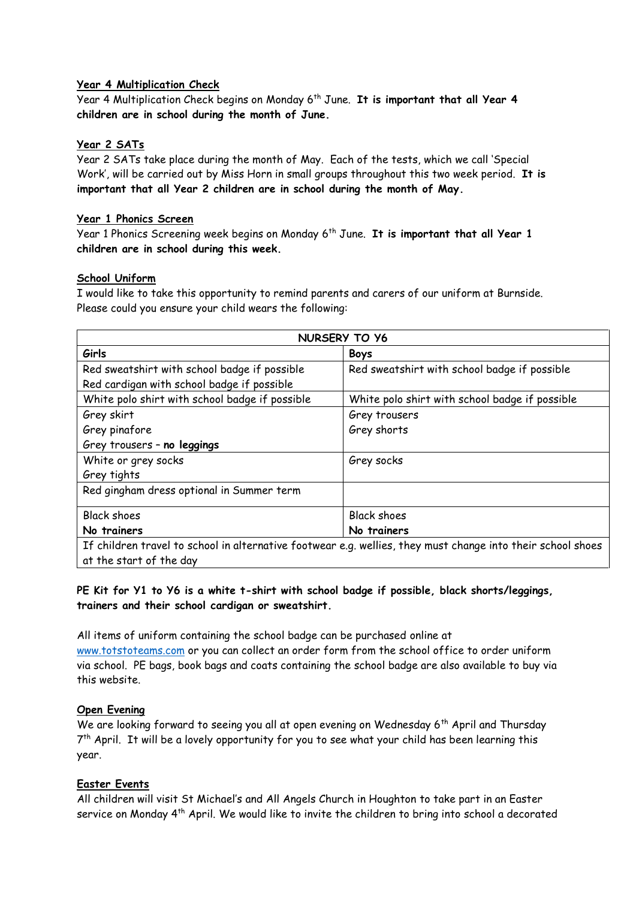### **Year 4 Multiplication Check**

Year 4 Multiplication Check begins on Monday 6 th June. **It is important that all Year 4 children are in school during the month of June.**

#### **Year 2 SATs**

Year 2 SATs take place during the month of May. Each of the tests, which we call 'Special Work', will be carried out by Miss Horn in small groups throughout this two week period. **It is important that all Year 2 children are in school during the month of May.** 

#### **Year 1 Phonics Screen**

Year 1 Phonics Screening week begins on Monday 6 th June. **It is important that all Year 1 children are in school during this week.** 

#### **School Uniform**

I would like to take this opportunity to remind parents and carers of our uniform at Burnside. Please could you ensure your child wears the following:

| <b>NURSERY TO Y6</b>                           |                                                                                                             |  |
|------------------------------------------------|-------------------------------------------------------------------------------------------------------------|--|
| Girls                                          | <b>Boys</b>                                                                                                 |  |
| Red sweatshirt with school badge if possible   | Red sweatshirt with school badge if possible                                                                |  |
| Red cardigan with school badge if possible     |                                                                                                             |  |
| White polo shirt with school badge if possible | White polo shirt with school badge if possible                                                              |  |
| Grey skirt                                     | Grey trousers                                                                                               |  |
| Grey pinafore                                  | Grey shorts                                                                                                 |  |
| Grey trousers - no leggings                    |                                                                                                             |  |
| White or grey socks                            | Grey socks                                                                                                  |  |
| Grey tights                                    |                                                                                                             |  |
| Red gingham dress optional in Summer term      |                                                                                                             |  |
| <b>Black shoes</b>                             | <b>Black shoes</b>                                                                                          |  |
| No trainers                                    | No trainers                                                                                                 |  |
|                                                | If children travel to school in alternative footwear e.g. wellies, they must change into their school shoes |  |
| at the start of the day                        |                                                                                                             |  |

## **PE Kit for Y1 to Y6 is a white t-shirt with school badge if possible, black shorts/leggings, trainers and their school cardigan or sweatshirt.**

All items of uniform containing the school badge can be purchased online at [www.totstoteams.com](http://www.totstoteams.com/) or you can collect an order form from the school office to order uniform via school. PE bags, book bags and coats containing the school badge are also available to buy via this website.

## **Open Evening**

We are looking forward to seeing you all at open evening on Wednesday 6<sup>th</sup> April and Thursday 7<sup>th</sup> April. It will be a lovely opportunity for you to see what your child has been learning this year.

## **Easter Events**

All children will visit St Michael's and All Angels Church in Houghton to take part in an Easter service on Monday 4<sup>th</sup> April. We would like to invite the children to bring into school a decorated